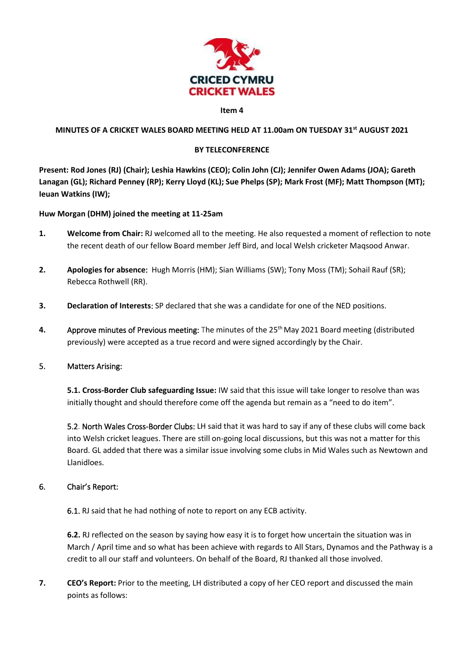

#### **Item 4**

#### **MINUTES OF A CRICKET WALES BOARD MEETING HELD AT 11.00am ON TUESDAY 31st AUGUST 2021**

#### **BY TELECONFERENCE**

**Present: Rod Jones (RJ) (Chair); Leshia Hawkins (CEO); Colin John (CJ); Jennifer Owen Adams (JOA); Gareth Lanagan (GL); Richard Penney (RP); Kerry Lloyd (KL); Sue Phelps (SP); Mark Frost (MF); Matt Thompson (MT); Ieuan Watkins (IW);** 

### **Huw Morgan (DHM) joined the meeting at 11-25am**

- **1. Welcome from Chair:** RJ welcomed all to the meeting. He also requested a moment of reflection to note the recent death of our fellow Board member Jeff Bird, and local Welsh cricketer Maqsood Anwar.
- **2. Apologies for absence**: Hugh Morris (HM); Sian Williams (SW); Tony Moss (TM); Sohail Rauf (SR); Rebecca Rothwell (RR).
- **3. Declaration of Interests**: SP declared that she was a candidate for one of the NED positions.
- **4.** Approve minutes of Previous meeting: The minutes of the 25<sup>th</sup> May 2021 Board meeting (distributed previously) were accepted as a true record and were signed accordingly by the Chair.

#### 5. Matters Arising:

**5.1. Cross-Border Club safeguarding Issue:** IW said that this issue will take longer to resolve than was initially thought and should therefore come off the agenda but remain as a "need to do item".

5.2. North Wales Cross-Border Clubs: LH said that it was hard to say if any of these clubs will come back into Welsh cricket leagues. There are still on-going local discussions, but this was not a matter for this Board. GL added that there was a similar issue involving some clubs in Mid Wales such as Newtown and Llanidloes.

## 6. Chair's Report:

6.1. RJ said that he had nothing of note to report on any ECB activity.

**6.2.** RJ reflected on the season by saying how easy it is to forget how uncertain the situation was in March / April time and so what has been achieve with regards to All Stars, Dynamos and the Pathway is a credit to all our staff and volunteers. On behalf of the Board, RJ thanked all those involved.

**7. CEO's Report:** Prior to the meeting, LH distributed a copy of her CEO report and discussed the main points as follows: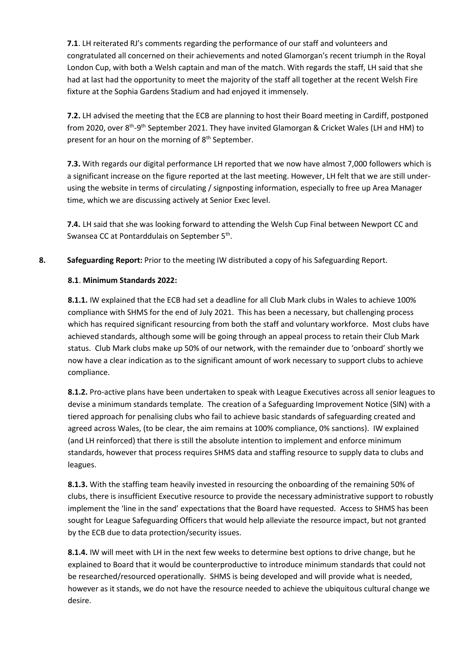**7.1**. LH reiterated RJ's comments regarding the performance of our staff and volunteers and congratulated all concerned on their achievements and noted Glamorgan's recent triumph in the Royal London Cup, with both a Welsh captain and man of the match. With regards the staff, LH said that she had at last had the opportunity to meet the majority of the staff all together at the recent Welsh Fire fixture at the Sophia Gardens Stadium and had enjoyed it immensely.

**7.2.** LH advised the meeting that the ECB are planning to host their Board meeting in Cardiff, postponed from 2020, over 8<sup>th</sup>-9<sup>th</sup> September 2021. They have invited Glamorgan & Cricket Wales (LH and HM) to present for an hour on the morning of  $8<sup>th</sup>$  September.

**7.3.** With regards our digital performance LH reported that we now have almost 7,000 followers which is a significant increase on the figure reported at the last meeting. However, LH felt that we are still underusing the website in terms of circulating / signposting information, especially to free up Area Manager time, which we are discussing actively at Senior Exec level.

**7.4.** LH said that she was looking forward to attending the Welsh Cup Final between Newport CC and Swansea CC at Pontarddulais on September 5<sup>th</sup>.

## **8. Safeguarding Report:** Prior to the meeting IW distributed a copy of his Safeguarding Report.

## **8.1**. **Minimum Standards 2022:**

**8.1.1.** IW explained that the ECB had set a deadline for all Club Mark clubs in Wales to achieve 100% compliance with SHMS for the end of July 2021. This has been a necessary, but challenging process which has required significant resourcing from both the staff and voluntary workforce. Most clubs have achieved standards, although some will be going through an appeal process to retain their Club Mark status. Club Mark clubs make up 50% of our network, with the remainder due to 'onboard' shortly we now have a clear indication as to the significant amount of work necessary to support clubs to achieve compliance.

**8.1.2.** Pro-active plans have been undertaken to speak with League Executives across all senior leagues to devise a minimum standards template. The creation of a Safeguarding Improvement Notice (SIN) with a tiered approach for penalising clubs who fail to achieve basic standards of safeguarding created and agreed across Wales, (to be clear, the aim remains at 100% compliance, 0% sanctions). IW explained (and LH reinforced) that there is still the absolute intention to implement and enforce minimum standards, however that process requires SHMS data and staffing resource to supply data to clubs and leagues.

**8.1.3.** With the staffing team heavily invested in resourcing the onboarding of the remaining 50% of clubs, there is insufficient Executive resource to provide the necessary administrative support to robustly implement the 'line in the sand' expectations that the Board have requested. Access to SHMS has been sought for League Safeguarding Officers that would help alleviate the resource impact, but not granted by the ECB due to data protection/security issues.

**8.1.4.** IW will meet with LH in the next few weeks to determine best options to drive change, but he explained to Board that it would be counterproductive to introduce minimum standards that could not be researched/resourced operationally. SHMS is being developed and will provide what is needed, however as it stands, we do not have the resource needed to achieve the ubiquitous cultural change we desire.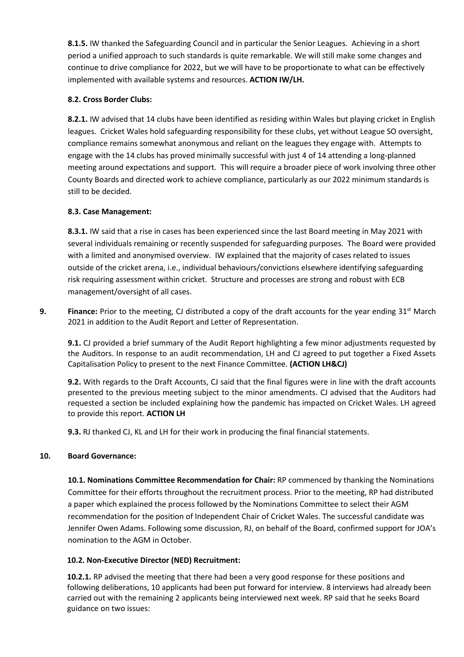**8.1.5.** IW thanked the Safeguarding Council and in particular the Senior Leagues. Achieving in a short period a unified approach to such standards is quite remarkable. We will still make some changes and continue to drive compliance for 2022, but we will have to be proportionate to what can be effectively implemented with available systems and resources. **ACTION IW/LH.**

# **8.2. Cross Border Clubs:**

**8.2.1.** IW advised that 14 clubs have been identified as residing within Wales but playing cricket in English leagues. Cricket Wales hold safeguarding responsibility for these clubs, yet without League SO oversight, compliance remains somewhat anonymous and reliant on the leagues they engage with. Attempts to engage with the 14 clubs has proved minimally successful with just 4 of 14 attending a long-planned meeting around expectations and support. This will require a broader piece of work involving three other County Boards and directed work to achieve compliance, particularly as our 2022 minimum standards is still to be decided.

# **8.3. Case Management:**

**8.3.1.** IW said that a rise in cases has been experienced since the last Board meeting in May 2021 with several individuals remaining or recently suspended for safeguarding purposes. The Board were provided with a limited and anonymised overview. IW explained that the majority of cases related to issues outside of the cricket arena, i.e., individual behaviours/convictions elsewhere identifying safeguarding risk requiring assessment within cricket. Structure and processes are strong and robust with ECB management/oversight of all cases.

**9. Finance:** Prior to the meeting, CJ distributed a copy of the draft accounts for the year ending 31<sup>st</sup> March 2021 in addition to the Audit Report and Letter of Representation.

**9.1.** CJ provided a brief summary of the Audit Report highlighting a few minor adjustments requested by the Auditors. In response to an audit recommendation, LH and CJ agreed to put together a Fixed Assets Capitalisation Policy to present to the next Finance Committee. **(ACTION LH&CJ)**

**9.2.** With regards to the Draft Accounts, CJ said that the final figures were in line with the draft accounts presented to the previous meeting subject to the minor amendments. CJ advised that the Auditors had requested a section be included explaining how the pandemic has impacted on Cricket Wales. LH agreed to provide this report. **ACTION LH**

**9.3.** RJ thanked CJ, KL and LH for their work in producing the final financial statements.

## **10. Board Governance:**

**10.1. Nominations Committee Recommendation for Chair:** RP commenced by thanking the Nominations Committee for their efforts throughout the recruitment process. Prior to the meeting, RP had distributed a paper which explained the process followed by the Nominations Committee to select their AGM recommendation for the position of Independent Chair of Cricket Wales. The successful candidate was Jennifer Owen Adams. Following some discussion, RJ, on behalf of the Board, confirmed support for JOA's nomination to the AGM in October.

## **10.2. Non-Executive Director (NED) Recruitment:**

**10.2.1.** RP advised the meeting that there had been a very good response for these positions and following deliberations, 10 applicants had been put forward for interview. 8 interviews had already been carried out with the remaining 2 applicants being interviewed next week. RP said that he seeks Board guidance on two issues: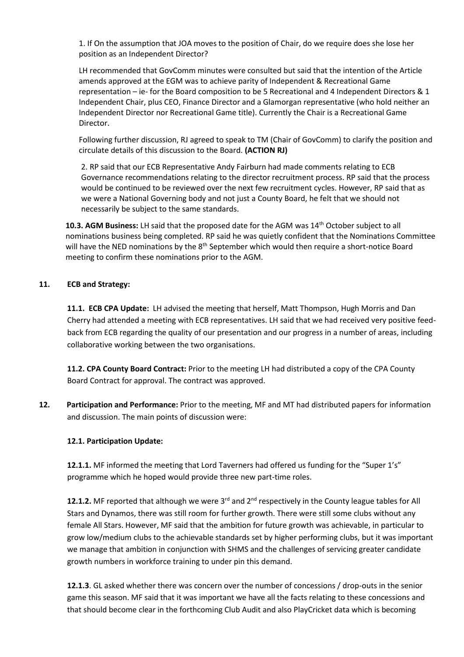1. If On the assumption that JOA moves to the position of Chair, do we require does she lose her position as an Independent Director?

LH recommended that GovComm minutes were consulted but said that the intention of the Article amends approved at the EGM was to achieve parity of Independent & Recreational Game representation – ie- for the Board composition to be 5 Recreational and 4 Independent Directors & 1 Independent Chair, plus CEO, Finance Director and a Glamorgan representative (who hold neither an Independent Director nor Recreational Game title). Currently the Chair is a Recreational Game Director.

Following further discussion, RJ agreed to speak to TM (Chair of GovComm) to clarify the position and circulate details of this discussion to the Board. **(ACTION RJ)**

2. RP said that our ECB Representative Andy Fairburn had made comments relating to ECB Governance recommendations relating to the director recruitment process. RP said that the process would be continued to be reviewed over the next few recruitment cycles. However, RP said that as we were a National Governing body and not just a County Board, he felt that we should not necessarily be subject to the same standards.

10.3. AGM Business: LH said that the proposed date for the AGM was 14<sup>th</sup> October subiect to all nominations business being completed. RP said he was quietly confident that the Nominations Committee will have the NED nominations by the 8<sup>th</sup> September which would then require a short-notice Board meeting to confirm these nominations prior to the AGM.

### **11. ECB and Strategy:**

**11.1. ECB CPA Update:** LH advised the meeting that herself, Matt Thompson, Hugh Morris and Dan Cherry had attended a meeting with ECB representatives. LH said that we had received very positive feedback from ECB regarding the quality of our presentation and our progress in a number of areas, including collaborative working between the two organisations.

**11.2. CPA County Board Contract:** Prior to the meeting LH had distributed a copy of the CPA County Board Contract for approval. The contract was approved.

**12. Participation and Performance:** Prior to the meeting, MF and MT had distributed papers for information and discussion. The main points of discussion were:

#### **12.1. Participation Update:**

**12.1.1.** MF informed the meeting that Lord Taverners had offered us funding for the "Super 1's" programme which he hoped would provide three new part-time roles.

**12.1.2.** MF reported that although we were 3<sup>rd</sup> and 2<sup>nd</sup> respectively in the County league tables for All Stars and Dynamos, there was still room for further growth. There were still some clubs without any female All Stars. However, MF said that the ambition for future growth was achievable, in particular to grow low/medium clubs to the achievable standards set by higher performing clubs, but it was important we manage that ambition in conjunction with SHMS and the challenges of servicing greater candidate growth numbers in workforce training to under pin this demand.

**12.1.3**. GL asked whether there was concern over the number of concessions / drop-outs in the senior game this season. MF said that it was important we have all the facts relating to these concessions and that should become clear in the forthcoming Club Audit and also PlayCricket data which is becoming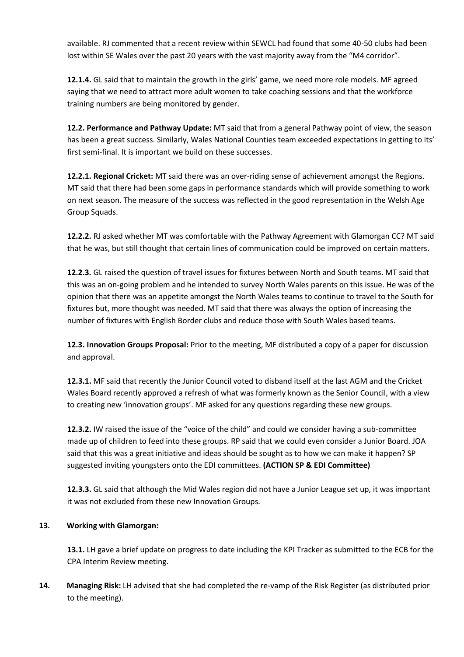available. RJ commented that a recent review within SEWCL had found that some 40-50 clubs had been lost within SE Wales over the past 20 years with the vast majority away from the "M4 corridor".

**12.1.4.** GL said that to maintain the growth in the girls' game, we need more role models. MF agreed saying that we need to attract more adult women to take coaching sessions and that the workforce training numbers are being monitored by gender.

**12.2. Performance and Pathway Update:** MT said that from a general Pathway point of view, the season has been a great success. Similarly, Wales National Counties team exceeded expectations in getting to its' first semi-final. It is important we build on these successes.

**12.2.1. Regional Cricket:** MT said there was an over-riding sense of achievement amongst the Regions. MT said that there had been some gaps in performance standards which will provide something to work on next season. The measure of the success was reflected in the good representation in the Welsh Age Group Squads.

**12.2.2.** RJ asked whether MT was comfortable with the Pathway Agreement with Glamorgan CC? MT said that he was, but still thought that certain lines of communication could be improved on certain matters.

**12.2.3.** GL raised the question of travel issues for fixtures between North and South teams. MT said that this was an on-going problem and he intended to survey North Wales parents on this issue. He was of the opinion that there was an appetite amongst the North Wales teams to continue to travel to the South for fixtures but, more thought was needed. MT said that there was always the option of increasing the number of fixtures with English Border clubs and reduce those with South Wales based teams.

**12.3. Innovation Groups Proposal:** Prior to the meeting, MF distributed a copy of a paper for discussion and approval.

**12.3.1.** MF said that recently the Junior Council voted to disband itself at the last AGM and the Cricket Wales Board recently approved a refresh of what was formerly known as the Senior Council, with a view to creating new 'innovation groups'. MF asked for any questions regarding these new groups.

**12.3.2.** IW raised the issue of the "voice of the child" and could we consider having a sub-committee made up of children to feed into these groups. RP said that we could even consider a Junior Board. JOA said that this was a great initiative and ideas should be sought as to how we can make it happen? SP suggested inviting youngsters onto the EDI committees. **(ACTION SP & EDI Committee)**

**12.3.3.** GL said that although the Mid Wales region did not have a Junior League set up, it was important it was not excluded from these new Innovation Groups.

# **13. Working with Glamorgan:**

**13.1.** LH gave a brief update on progress to date including the KPI Tracker as submitted to the ECB for the CPA Interim Review meeting.

**14. Managing Risk:** LH advised that she had completed the re-vamp of the Risk Register (as distributed prior to the meeting).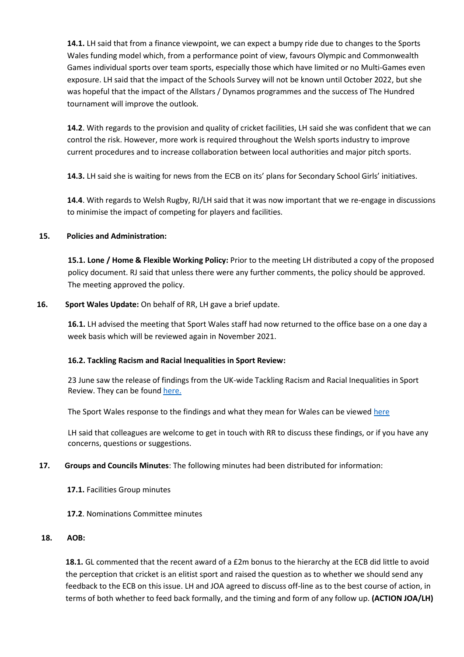**14.1.** LH said that from a finance viewpoint, we can expect a bumpy ride due to changes to the Sports Wales funding model which, from a performance point of view, favours Olympic and Commonwealth Games individual sports over team sports, especially those which have limited or no Multi-Games even exposure. LH said that the impact of the Schools Survey will not be known until October 2022, but she was hopeful that the impact of the Allstars / Dynamos programmes and the success of The Hundred tournament will improve the outlook.

**14.2**. With regards to the provision and quality of cricket facilities, LH said she was confident that we can control the risk. However, more work is required throughout the Welsh sports industry to improve current procedures and to increase collaboration between local authorities and major pitch sports.

**14.3.** LH said she is waiting for news from the ECB on its' plans for Secondary School Girls' initiatives.

**14.4**. With regards to Welsh Rugby, RJ/LH said that it was now important that we re-engage in discussions to minimise the impact of competing for players and facilities.

## **15. Policies and Administration:**

**15.1. Lone / Home & Flexible Working Policy:** Prior to the meeting LH distributed a copy of the proposed policy document. RJ said that unless there were any further comments, the policy should be approved. The meeting approved the policy.

### **16. Sport Wales Update:** On behalf of RR, LH gave a brief update.

**16.1.** LH advised the meeting that Sport Wales staff had now returned to the office base on a one day a week basis which will be reviewed again in November 2021.

#### **16.2. Tackling Racism and Racial Inequalities in Sport Review:**

23 June saw the release of findings from the UK-wide Tackling Racism and Racial Inequalities in Sport Review. They can be foun[d here.](https://www.sport.wales/more-will-be-done-to-tackle-racism-and-racial-inequalities-in-sport/summary-of-trariis-research-findings/)

The Sport Wales response to the findings and what they mean for Wales can be viewe[d here](https://www.sport.wales/more-will-be-done-to-tackle-racism-and-racial-inequalities-in-sport/)

LH said that colleagues are welcome to get in touch with RR to discuss these findings, or if you have any concerns, questions or suggestions.

#### **17. Groups and Councils Minutes**: The following minutes had been distributed for information:

- **17.1.** Facilities Group minutes
- **17.2**. Nominations Committee minutes

#### **18. AOB:**

18.1. GL commented that the recent award of a £2m bonus to the hierarchy at the ECB did little to avoid the perception that cricket is an elitist sport and raised the question as to whether we should send any feedback to the ECB on this issue. LH and JOA agreed to discuss off-line as to the best course of action, in terms of both whether to feed back formally, and the timing and form of any follow up. **(ACTION JOA/LH)**